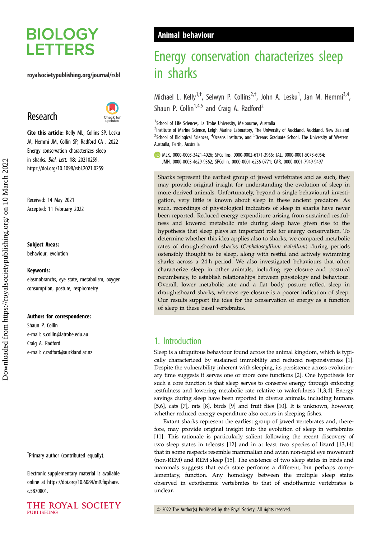# **BIOLOGY LETTERS**

### royalsocietypublishing.org/journal/rsbl

# Research



Cite this article: Kelly ML, Collins SP, Lesku JA, Hemmi JM, Collin SP, Radford CA . 2022 Energy conservation characterizes sleep in sharks. Biol. Lett. 18: 20210259. https://doi.org/10.1098/rsbl.2021.0259

Received: 14 May 2021 Accepted: 11 February 2022

#### Subject Areas:

behaviour, evolution

#### Keywords:

elasmobranchs, eye state, metabolism, oxygen consumption, posture, respirometry

#### Authors for correspondence:

Shaun P. Collin e-mail: [s.collin@latrobe.edu.au](mailto:s.collin@latrobe.edu.au) Craig A. Radford e-mail: [c.radford@auckland.ac.nz](mailto:c.radford@auckland.ac.nz)

† Primary author (contributed equally).

Electronic supplementary material is available online at [https://doi.org/10.6084/m9.figshare.](https://doi.org/10.6084/m9.figshare.c.5870801) [c.5870801.](https://doi.org/10.6084/m9.figshare.c.5870801)



# Animal behaviour

# Energy conservation characterizes sleep in sharks

Michael L. Kelly<sup>1,†</sup>, Selwyn P. Collins<sup>2,†</sup>, John A. Lesku<sup>1</sup>, Jan M. Hemmi<sup>3,4</sup>, Shaun P. Collin<sup>1,4,5</sup> and Craig A. Radford<sup>2</sup>

<sup>1</sup> School of Life Sciences, La Trobe University, Melbourne, Australia

<sup>2</sup>Institute of Marine Science, Leigh Marine Laboratory, The University of Auckland, Auckland, New Zealand  $3$ School of Biological Sciences,  $4$ Oceans Institute, and  $5$ Oceans Graduate School, The University of Western Australia, Perth, Australia

MLK, [0000-0003-3421-4026](http://orcid.org/0000-0003-3421-4026); SPCollins, [0000-0002-6171-3966](https://orcid.org/0000-0002-6171-3966); JAL, [0000-0001-5073-6954](http://orcid.org/0000-0001-5073-6954); JMH, [0000-0003-4629-9362](http://orcid.org/0000-0003-4629-9362); SPCollin, [0000-0001-6236-0771;](https://orcid.org/0000-0001-6236-0771) CAR, [0000-0001-7949-9497](http://orcid.org/0000-0001-7949-9497)

Sharks represent the earliest group of jawed vertebrates and as such, they may provide original insight for understanding the evolution of sleep in more derived animals. Unfortunately, beyond a single behavioural investigation, very little is known about sleep in these ancient predators. As such, recordings of physiological indicators of sleep in sharks have never been reported. Reduced energy expenditure arising from sustained restfulness and lowered metabolic rate during sleep have given rise to the hypothesis that sleep plays an important role for energy conservation. To determine whether this idea applies also to sharks, we compared metabolic rates of draughtsboard sharks (Cephaloscyllium isabellum) during periods ostensibly thought to be sleep, along with restful and actively swimming sharks across a 24 h period. We also investigated behaviours that often characterize sleep in other animals, including eye closure and postural recumbency, to establish relationships between physiology and behaviour. Overall, lower metabolic rate and a flat body posture reflect sleep in draughtsboard sharks, whereas eye closure is a poorer indication of sleep. Our results support the idea for the conservation of energy as a function of sleep in these basal vertebrates.

# 1. Introduction

Sleep is a ubiquitous behaviour found across the animal kingdom, which is typically characterized by sustained immobility and reduced responsiveness [\[1\]](#page-4-0). Despite the vulnerability inherent with sleeping, its persistence across evolutionary time suggests it serves one or more core functions [\[2](#page-4-0)]. One hypothesis for such a core function is that sleep serves to conserve energy through enforcing restfulness and lowering metabolic rate relative to wakefulness [[1,3,4](#page-4-0)]. Energy savings during sleep have been reported in diverse animals, including humans [[5,6\]](#page-4-0), cats [[7](#page-4-0)], rats [\[8\]](#page-4-0), birds [\[9](#page-4-0)] and fruit flies [\[10](#page-4-0)]. It is unknown, however, whether reduced energy expenditure also occurs in sleeping fishes.

Extant sharks represent the earliest group of jawed vertebrates and, therefore, may provide original insight into the evolution of sleep in vertebrates [[11](#page-4-0)]. This rationale is particularly salient following the recent discovery of two sleep states in teleosts [\[12](#page-4-0)] and in at least two species of lizard [[13,14\]](#page-4-0) that in some respects resemble mammalian and avian non-rapid eye movement (non-REM) and REM sleep [\[15](#page-4-0)]. The existence of two sleep states in birds and mammals suggests that each state performs a different, but perhaps complementary, function. Any homology between the multiple sleep states observed in ectothermic vertebrates to that of endothermic vertebrates is unclear.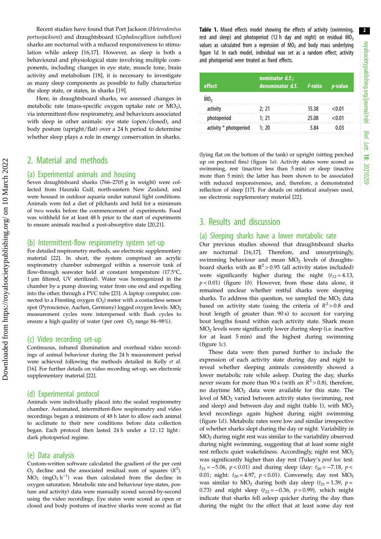Recent studies have found that Port Jackson (Heterodontus portusjacksoni) and draughtsboard (Cephaloscyllium isabellum) sharks are nocturnal with a reduced responsiveness to stimulation while asleep [[16,17\]](#page-4-0). However, as sleep is both a behavioural and physiological state involving multiple components, including changes in eye state, muscle tone, brain activity and metabolism [\[18](#page-4-0)], it is necessary to investigate as many sleep components as possible to fully characterize the sleep state, or states, in sharks [\[19](#page-4-0)].

Here, in draughtsboard sharks, we assessed changes in metabolic rate (mass-specific oxygen uptake rate or  $MO_2$ ), via intermittent-flow respirometry, and behaviours associated with sleep in other animals: eye state (open/closed), and body posture (upright/flat) over a 24 h period to determine whether sleep plays a role in energy conservation in sharks.

# 2. Material and methods

#### (a) Experimental animals and housing

Seven draughtsboard sharks (766–2705 g in weight) were collected from Hauraki Gulf, north-eastern New Zealand, and were housed in outdoor aquaria under natural light conditions. Animals were fed a diet of pilchards and held for a minimum of two weeks before the commencement of experiments. Food was withheld for at least 48 h prior to the start of experiments to ensure animals reached a post-absorptive state [[20,21\]](#page-5-0).

#### (b) Intermittent-flow respirometry system set-up

For detailed respirometry methods, see electronic supplementary material [[22](#page-5-0)]. In short, the system comprised an acrylic respirometry chamber submerged within a reservoir tank of flow-through seawater held at constant temperature (17.5°C, 1 µm filtered, UV sterilized). Water was homogenized in the chamber by a pump drawing water from one end and expelling into the other, through a PVC tube [[23](#page-5-0)]. A laptop computer, connected to a Firesting oxygen  $(O_2)$  meter with a contactless sensor spot (Pyroscience, Aachen, Germany) logged oxygen levels. MO<sub>2</sub> measurement cycles were interspersed with flush cycles to ensure a high quality of water (per cent  $O_2$  range 84–98%).

#### (c) Video recording set-up

Continuous, infrared illumination and overhead video recordings of animal behaviour during the 24 h measurement period were achieved following the methods detailed in Kelly et al. [\[16\]](#page-4-0). For further details on video recording set-up, see electronic supplementary material [[22](#page-5-0)].

#### (d) Experimental protocol

Animals were individually placed into the sealed respirometry chamber. Automated, intermittent-flow respirometry and video recordings began a minimum of 48 h later to allow each animal to acclimate to their new conditions before data collection began. Each protocol then lasted 24 h under a 12:12 light: dark photoperiod regime.

#### (e) Data analysis

Custom-written software calculated the gradient of the per cent  $O_2$  decline and the associated residual sum of squares  $(R^2)$ .  $\text{MO}_2$  (mgO<sub>2</sub> h<sup>-1</sup>) was then calculated from the decline in oxygen saturation. Metabolic rate and behaviour (eye states, posture and activity) data were manually scored second-by-second using the video recordings. Eye states were scored as open or closed and body postures of inactive sharks were scored as flat

Table 1. Mixed effects model showing the effects of activity (swimming, rest and sleep) and photoperiod (12 h day and night) on residual  $\dot{MO}_2$ values as calculated from a regression of  $\dot{MO}_2$  and body mass underlying fi[gure 1](#page-2-0)d. In each model, individual was set as a random effect; activity and photoperiod were treated as fixed effects.

| effect                 | nominator d.f.;<br>denominator $d.f.$ $F$ -ratio $p$ -value |       |        |
|------------------------|-------------------------------------------------------------|-------|--------|
| MO <sub>2</sub>        |                                                             |       |        |
| activity               | 2:21                                                        | 15.38 | < 0.01 |
| photoperiod            | 1:21                                                        | 25.08 | < 0.01 |
| activity * photoperiod | 1; 20                                                       | 5.84  | 0 03   |

(lying flat on the bottom of the tank) or upright (sitting perched up on pectoral fins) [\(figure 1](#page-2-0)a). Activity states were scored as swimming, rest (inactive less than 5 min) or sleep (inactive more than 5 min); the latter has been shown to be associated with reduced responsiveness, and, therefore, a demonstrated reflection of sleep [\[17\]](#page-4-0). For details on statistical analyses used, see electronic supplementary material [[22](#page-5-0)].

# 3. Results and discussion

### (a) Sleeping sharks have a lower metabolic rate

Our previous studies showed that draughtsboard sharks are nocturnal [[16,17](#page-4-0)]. Therefore, and unsurprisingly, swimming behaviour and mean  $MO<sub>2</sub>$  levels of draughtsboard sharks with an  $R^2 > 0.95$  (all activity states included) were significantly higher during the night  $(t_{12} = 4.13)$ ,  $p < 0.01$ ) ([figure 1](#page-2-0)b). However, from these data alone, it remained unclear whether restful sharks were sleeping sharks. To address this question, we sampled the  $MO_2$  data based on activity state (using the criteria of  $R^2 > 0.8$  and bout length of greater than 90 s) to account for varying bout lengths found within each activity state. Shark mean  $MO<sub>2</sub>$  levels were significantly lower during sleep (i.e. inactive for at least 5 min) and the highest during swimming (figure  $1c$ ).

These data were then parsed further to include the expression of each activity state during day and night to reveal whether sleeping animals consistently showed a lower metabolic rate while asleep. During the day, sharks never swam for more than 90 s (with an  $R^2 > 0.8$ ), therefore, no daytime  $\dot{M}O_2$  data were available for this state. The level of  $MO<sub>2</sub>$  varied between activity states (swimming, rest and sleep) and between day and night (table 1), with  $\rm \dot{MO}_2$ level recordings again highest during night swimming ([figure 1](#page-2-0)d). Metabolic rates were low and similar irrespective of whether sharks slept during the day or night. Variability in  $MO<sub>2</sub>$  during night rest was similar to the variability observed during night swimming, suggesting that at least some night rest reflects quiet wakefulness. Accordingly, night rest  $MO_2$ was significantly higher than day rest (Tukey's post hoc test:  $t_{21} = -5.06$ ,  $p < 0.01$ ) and during sleep (day:  $t_{20} = -7.18$ ,  $p <$ 0.01; night:  $t_{20} = 4.97$ ,  $p < 0.01$ ). Conversely, day rest  $\text{MO}_2$ was similar to  $MO_2$  during both day sleep ( $t_{21} = 1.39$ ,  $p =$ 0.73) and night sleep ( $t_{22} = -0.36$ ,  $p = 0.99$ ), which might indicate that sharks fell asleep quicker during the day than during the night (to the effect that at least some day rest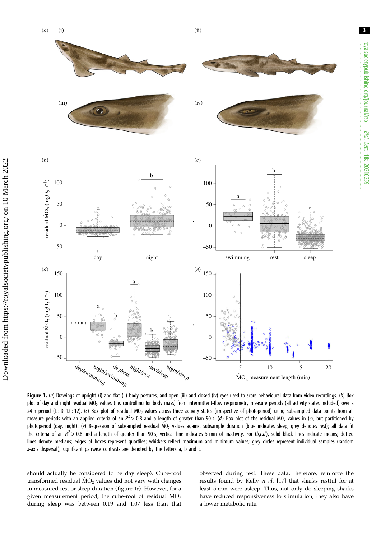3

<span id="page-2-0"></span>(*a*)



Figure 1. (a) Drawings of upright (i) and flat (ii) body postures, and open (iii) and closed (iv) eyes used to score behavioural data from video recordings. (b) Box plot of day and night residual MO<sub>2</sub> values (i.e. controlling for body mass) from intermittent-flow respirometry measure periods (all activity states included) over a 24 h period (L : D 12 : 12). (c) Box plot of residual MO<sub>2</sub> values across three activity states (irrespective of photoperiod) using subsampled data points from all measure periods with an applied criteria of an  $R^2 > 0.8$  and a length of greater than 90 s. (d) Box plot of the residual MO<sub>2</sub> values in (c), but partitioned by photoperiod (day, night). (e) Regression of subsampled residual MO<sub>2</sub> values against subsample duration (blue indicates sleep; grey denotes rest); all data fit the criteria of an  $R^2 > 0.8$  and a length of greater than 90 s; vertical line indicates 5 min of inactivity. For (b,c,d), solid black lines indicate means; dotted lines denote medians; edges of boxes represent quartiles; whiskers reflect maximum and minimum values; grey circles represent individual samples (random x-axis dispersal); significant pairwise contrasts are denoted by the letters a, b and c.

should actually be considered to be day sleep). Cube-root transformed residual  $MO_2$  values did not vary with changes in measured rest or sleep duration (figure 1e). However, for a given measurement period, the cube-root of residual  $\rm \dot{MO}_2$ during sleep was between 0.19 and 1.07 less than that observed during rest. These data, therefore, reinforce the results found by Kelly et al. [\[17](#page-4-0)] that sharks restful for at least 5 min were asleep. Thus, not only do sleeping sharks have reduced responsiveness to stimulation, they also have a lower metabolic rate.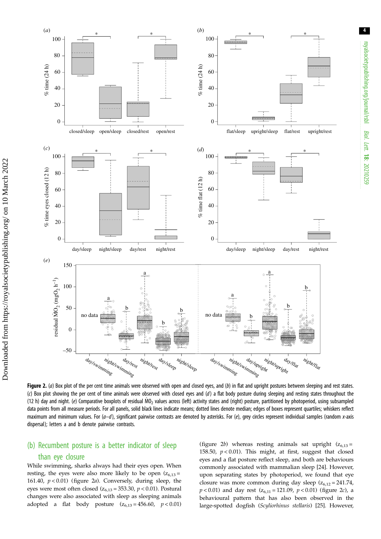4

<span id="page-3-0"></span>

Figure 2. (a) Box plot of the per cent time animals were observed with open and closed eyes, and (b) in flat and upright postures between sleeping and rest states. (c) Box plot showing the per cent of time animals were observed with closed eyes and  $(d)$  a flat body posture during sleeping and resting states throughout the (12 h) day and night. (e) Comparative boxplots of residual MO<sub>2</sub> values across (left) activity states and (right) posture, partitioned by photoperiod, using subsampled data points from all measure periods. For all panels, solid black lines indicate means; dotted lines denote median; edges of boxes represent quartiles; whiskers reflect maximum and minimum values. For  $(a-d)$ , significant pairwise contrasts are denoted by asterisks. For  $(e)$ , grey circles represent individual samples (random x-axis dispersal); letters a and b denote pairwise contrasts.

## (b) Recumbent posture is a better indicator of sleep

#### than eye closure

Downloaded from https://royalsocietypublishing.org/ on 10 March 2022

Downloaded from https://royalsocietypublishing.org/ on 10 March 2022

While swimming, sharks always had their eyes open. When resting, the eyes were also more likely to be open  $(z_{6,13} =$ 161.40,  $p < 0.01$ ) (figure 2*a*). Conversely, during sleep, the eyes were most often closed ( $z_{6,13}$  = 353.30,  $p$  < 0.01). Postural changes were also associated with sleep as sleeping animals adopted a flat body posture  $(z_{6,13} = 456.60, p < 0.01)$  (figure 2b) whereas resting animals sat upright  $(z_{6,13} =$ 158.50,  $p < 0.01$ ). This might, at first, suggest that closed eyes and a flat posture reflect sleep, and both are behaviours commonly associated with mammalian sleep [[24\]](#page-5-0). However, upon separating states by photoperiod, we found that eye closure was more common during day sleep  $(z_{6,12} = 241.74, ...)$  $p < 0.01$ ) and day rest ( $z_{6,11} = 121.09$ ,  $p < 0.01$ ) (figure 2*c*), a behavioural pattern that has also been observed in the large-spotted dogfish (Scyliorhinus stellaris) [[25\]](#page-5-0). However,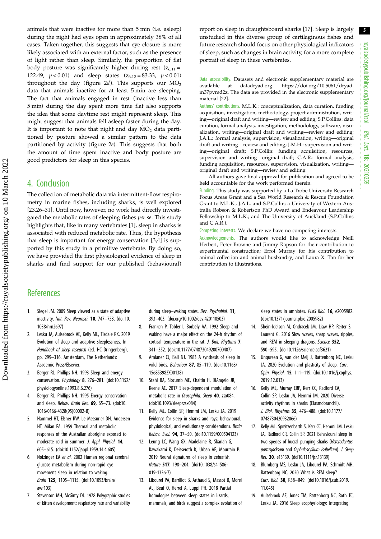5

<span id="page-4-0"></span>animals that were inactive for more than 5 min (i.e. asleep) during the night had eyes open in approximately 38% of all cases. Taken together, this suggests that eye closure is more likely associated with an external factor, such as the presence of light rather than sleep. Similarly, the proportion of flat body posture was significantly higher during rest  $(z_{6,11} =$ 122.49,  $p < 0.01$ ) and sleep states  $(z_{6,12} = 83.33, p < 0.01)$ throughout the day [\(figure 2](#page-3-0)d). This supports our  $MO_2$ data that animals inactive for at least 5 min are sleeping. The fact that animals engaged in rest (inactive less than 5 min) during the day spent more time flat also supports the idea that some daytime rest might represent sleep. This might suggest that animals fell asleep faster during the day. It is important to note that night and day  $MO<sub>2</sub>$  data partitioned by posture showed a similar pattern to the data partitioned by activity [\(figure 2](#page-3-0)e). This suggests that both the amount of time spent inactive and body posture are good predictors for sleep in this species.

## 4. Conclusion

The collection of metabolic data via intermittent-flow respirometry in marine fishes, including sharks, is well explored [\[23](#page-5-0),[26](#page-5-0)–[31](#page-5-0)]. Until now, however, no work had directly investigated the metabolic rates of sleeping fishes per se. This study highlights that, like in many vertebrates [1], sleep in sharks is associated with reduced metabolic rate. Thus, the hypothesis that sleep is important for energy conservation [3,4] is supported by this study in a primitive vertebrate. By doing so, we have provided the first physiological evidence of sleep in sharks and find support for our published (behavioural)

report on sleep in draughtsboard sharks [17]. Sleep is largely unstudied in this diverse group of cartilaginous fishes and future research should focus on other physiological indicators of sleep, such as changes in brain activity, for a more complete portrait of sleep in these vertebrates.

Data accessibility. Datasets and electronic supplementary material are available at datadryad.org. [https://doi.org/10.5061/dryad.](https://doi.org/10.5061/dryad.m37pvmd2z) [m37pvmd2z.](https://doi.org/10.5061/dryad.m37pvmd2z) The data are provided in the electronic supplementary material [[22\]](#page-5-0).

Authors' contributions. M.L.K.: conceptualization, data curation, funding acquisition, investigation, methodology, project administration, writing—original draft and writing—review and editing; S.P.Collins: data curation, formal analysis, investigation, methodology, software, visualization, writing—original draft and writing—review and editing; J.A.L.: formal analysis, supervision, visualization, writing—original draft and writing—review and editing; J.M.H.: supervision and writing—original draft; S.P.Collin: funding acquisition, resources, supervision and writing—original draft; C.A.R.: formal analysis, funding acquisition, resources, supervision, visualization, writing original draft and writing—review and editing.

All authors gave final approval for publication and agreed to be held accountable for the work performed therein.

Funding. This study was supported by a La Trobe University Research Focus Areas Grant and a Sea World Research & Rescue Foundation Grant to M.L.K., J.A.L. and S.P.Collin; a University of Western Australia Robson & Robertson PhD Award and Endeavour Leadership Fellowship to M.L.K.; and The University of Auckland (S.P.Collins and C.A.R.).

Competing interests. We declare we have no competing interests.

Acknowledgements. The authors would like to acknowledge Neill Herbert, Peter Browne and Jimmy Rapson for their contribution to experimental construction; Errol Murray for his contribution to animal collection and animal husbandry; and Laura X. Tan for her contribution to illustrations.

# **References**

- 1. Siegel JM. 2009 Sleep viewed as a state of adaptive inactivity. Nat. Rev. Neurosci. 10, 747-753. ([doi:10.](http://dx.doi.org/10.1038/nrn2697) [1038/nrn2697\)](http://dx.doi.org/10.1038/nrn2697)
- 2. Lesku JA, Aulsebrook AE, Kelly ML, Tisdale RK. 2019 Evolution of sleep and adaptive sleeplessness. In Handbook of sleep research (ed. HC Dringenberg), pp. 299–316. Amsterdam, The Netherlands: Academic Press/Elsevier.
- 3. Berger RJ, Phillips NH. 1993 Sleep and energy conservation. Physiology 8, 276–281. ([doi:10.1152/](http://dx.doi.org/10.1152/physiologyonline.1993.8.6.276) [physiologyonline.1993.8.6.276](http://dx.doi.org/10.1152/physiologyonline.1993.8.6.276))
- 4. Berger RJ, Phillips NH. 1995 Energy conservation and sleep. Behav. Brain Res. 69, 65-73. [\(doi:10.](http://dx.doi.org/10.1016/0166-4328(95)00002-B) [1016/0166-4328\(95\)00002-B\)](http://dx.doi.org/10.1016/0166-4328(95)00002-B)
- 5. Hammel HT, Elsner RW, Le Messurier DH, Andersen HT, Milan FA. 1959 Thermal and metabolic responses of the Australian aborigine exposed to moderate cold in summer. J. Appl. Physiol. 14, 605–615. ([doi:10.1152/jappl.1959.14.4.605](http://dx.doi.org/10.1152/jappl.1959.14.4.605))
- 6. Nofzinger EA et al. 2002 Human regional cerebral glucose metabolism during non-rapid eye movement sleep in relation to waking. Brain 125, 1105–1115. ([doi:10.1093/brain/](http://dx.doi.org/10.1093/brain/awf103) [awf103](http://dx.doi.org/10.1093/brain/awf103))
- 7. Stevenson MH, McGinty DJ. 1978 Polygraphic studies of kitten development: respiratory rate and variability

during sleep-waking states. Dev. Psychobiol. 11, 393–403. ([doi.org/10.1002/dev.420110503](https://doi.org/org/10.1002/dev.420110503))

- 8. Franken P, Tobler I, Borbély AA. 1992 Sleep and waking have a major effect on the 24-h rhythm of cortical temperature in the rat. J. Biol. Rhythms 7, 341–352. ([doi:10.1177/074873049200700407\)](http://dx.doi.org/10.1177/074873049200700407)
- 9. Amlaner CJ, Ball NJ. 1983 A synthesis of sleep in wild birds. Behaviour 87, 85–119. [\(doi:10.1163/](http://dx.doi.org/10.1163/156853983X00138) [156853983X00138\)](http://dx.doi.org/10.1163/156853983X00138)
- 10. Stahl BA, Slocumb ME, Chaitin H, DiAngelo JR, Keene AC. 2017 Sleep-dependent modulation of metabolic rate in Drosophila. Sleep 40, zsx084. [\(doi:10.1093/sleep/zsx084\)](http://dx.doi.org/10.1093/sleep/zsx084)
- 11. Kelly ML, Collin SP, Hemmi JM, Lesku JA. 2019 Evidence for sleep in sharks and rays: behavioural, physiological, and evolutionary considerations. Brain Behav. Evol. 94, 37–50. [\(doi10.1159/000504123\)](http://dx.doi.org/doi10.1159/000504123)
- 12. Leung LC, Wang GX, Madelaine R, Skariah G, Kawakami K, Deisseroth K, Urban AE, Mourrain P. 2019 Neural signatures of sleep in zebrafish. Nature 517, 198–204. [\(doi10.1038/s41586-](http://dx.doi.org/doi10.1038/s41586-019-1336-7) [019-1336-7\)](http://dx.doi.org/doi10.1038/s41586-019-1336-7)
- 13. Libourel PA, Barrillot B, Arthaud S, Massot B, Morel AL, Beuf O, Herrel A, Luppi PH. 2018 Partial homologies between sleep states in lizards, mammals, and birds suggest a complex evolution of

sleep states in amniotes. PLoS Biol. 16, e2005982. ([doi:10.1371/journal.pbio.2005982\)](http://dx.doi.org/10.1371/journal.pbio.2005982)

- 14. Shein-Idelson M, Ondracek JM, Liaw HP, Reiter S, Laurent G. 2016 Slow waves, sharp waves, ripples, and REM in sleeping dragons. Science 352, 590–595. [\(doi10.1126/science.aaf3621\)](http://dx.doi.org/doi10.1126/science.aaf3621)
- 15. Ungurean G, van der Meij J, Rattenborg NC, Lesku JA. 2020 Evolution and plasticity of sleep. Curr. Opin. Physiol. 15, 111–119. [\(doi:10.1016/j.cophys.](http://dx.doi.org/10.1016/j.cophys.2019.12.013) [2019.12.013](http://dx.doi.org/10.1016/j.cophys.2019.12.013))
- 16. Kelly ML, Murray ERP, Kerr CC, Radford CA, Collin SP, Lesku JA, Hemmi JM. 2020 Diverse activity rhythms in sharks (Elasmobranchii). J. Biol. Rhythms 35, 476–488. ([doi:10.1177/](http://dx.doi.org/10.1177/0748730420932066) [0748730420932066\)](http://dx.doi.org/10.1177/0748730420932066)
- 17. Kelly ML, Spreitzenbarth S, Kerr CC, Hemmi JM, Lesku JA, Radford CR, Collin SP. 2021 Behavioural sleep in two species of buccal pumping sharks (Heterodontus portusjacksoni and Cephaloscyllium isabellum). J. Sleep Res. 30, e13139. [\(doi10.1111/jsr.13139\)](http://dx.doi.org/doi10.1111/jsr.13139)
- 18. Blumberg MS, Lesku JA, Libourel PA, Schmidt MH, Rattenborg NC. 2020 What is REM sleep? Curr. Biol. 30, R38–R49. ([doi10.1016/j.cub.2019.](http://dx.doi.org/doi10.1016/j.cub.2019.11.045) [11.045](http://dx.doi.org/doi10.1016/j.cub.2019.11.045))
- 19. Aulsebrook AE, Jones TM, Rattenborg NC, Roth TC, Lesku JA. 2016 Sleep ecophysiology: integrating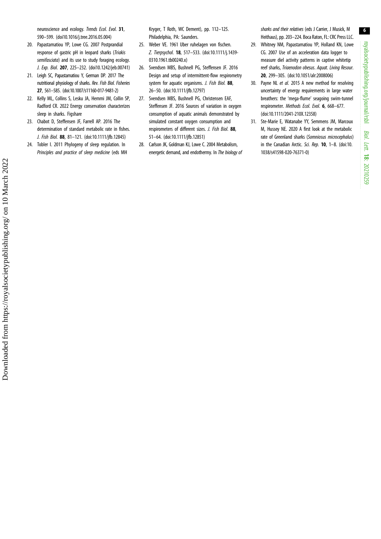<span id="page-5-0"></span>neuroscience and ecology. Trends Ecol. Evol. 31, 590–599. ([doi10.1016/j.tree.2016.05.004](http://dx.doi.org/doi10.1016/j.tree.2016.05.004))

- 20. Papastamatiou YP, Lowe CG. 2007 Postprandial response of gastric pH in leopard sharks (Triakis semifasciata) and its use to study foraging ecology. J. Exp. Biol. 207, 225–232. [\(doi10.1242/jeb.00741\)](http://dx.doi.org/doi10.1242/jeb.00741)
- 21. Leigh SC, Papastamatiou Y, German DP. 2017 The nutritional physiology of sharks. Rev. Fish Biol. Fisheries 27, 561–585. ([doi:10.1007/s11160-017-9481-2\)](http://dx.doi.org/10.1007/s11160-017-9481-2)
- 22. Kelly ML, Collins S, Lesku JA, Hemmi JM, Collin SP, Radford CR. 2022 Energy conservation characterizes sleep in sharks. Figshare
- 23. Chabot D, Steffensen JF, Farrell AP. 2016 The determination of standard metabolic rate in fishes. J. Fish Biol. 88, 81–121. ([doi:10.1111/jfb.12845](http://dx.doi.org/10.1111/jfb.12845))
- 24. Tobler I. 2011 Phylogeny of sleep regulation. In Principles and practice of sleep medicine (eds MH

Kryger, T Roth, WC Dement), pp. 112–125. Philadelphia, PA: Saunders.

- 25. Weber VE. 1961 Uber ruhelagen von fischen. Z. Tierpsychol. 18, 517–533. ([doi:10.1111/j.1439-](http://dx.doi.org/10.1111/j.1439-0310.1961.tb00240.x) [0310.1961.tb00240.x\)](http://dx.doi.org/10.1111/j.1439-0310.1961.tb00240.x)
- 26. Svendsen MBS, Bushnell PG, Steffensen JF. 2016 Design and setup of intermittent-flow respirometry system for aquatic organisms. J. Fish Biol. 88, 26–50. ([doi:10.1111/jfb.12797](http://dx.doi.org/10.1111/jfb.12797))
- 27. Svendsen MBS, Bushnell PG, Christensen EAF, Steffensen JF. 2016 Sources of variation in oxygen consumption of aquatic animals demonstrated by simulated constant oxygen consumption and respirometers of different sizes. J. Fish Biol. 88, 51–64. ([doi:10.1111/jfb.12851](http://dx.doi.org/10.1111/jfb.12851))
- 28. Carlson JK, Goldman KJ, Lowe C. 2004 Metabolism, energetic demand, and endothermy. In The biology of

sharks and their relatives (eds J Carrier, J Musick, M Heithaus), pp. 203–224. Boca Raton, FL: CRC Press LLC.

- 29. Whitney NM, Papastamatiou YP, Holland KN, Lowe CG. 2007 Use of an acceleration data logger to measure diel activity patterns in captive whitetip reef sharks, Triaenodon obesus. Aquat. Living Resour. 20, 299–305. ([doi:10.1051/alr:2008006](http://dx.doi.org/10.1051/alr:2008006))
- 30. Payne NL et al. 2015 A new method for resolving uncertainty of energy requirements in large water breathers: the 'mega-flume' seagoing swim-tunnel respirometer. Methods Ecol. Evol. 6, 668–677. ([doi:10.1111/2041-210X.12358\)](http://dx.doi.org/10.1111/2041-210X.12358)
- 31. Ste-Marie E, Watanabe YY, Semmens JM, Marcoux M, Hussey NE. 2020 A first look at the metabolic rate of Greenland sharks (Somniosus microcephalus) in the Canadian Arctic. Sci. Rep. 10, 1–8. [\(doi:10.](http://dx.doi.org/10.1038/s41598-020-76371-0) [1038/s41598-020-76371-0\)](http://dx.doi.org/10.1038/s41598-020-76371-0)

Lett.

18: 20210259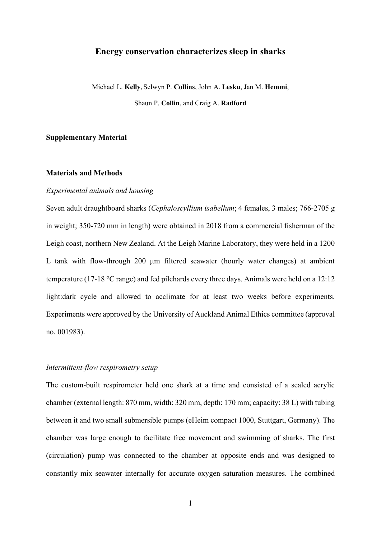## **Energy conservation characterizes sleep in sharks**

Michael L. **Kelly**, Selwyn P. **Collins**, John A. **Lesku**, Jan M. **Hemmi**, Shaun P. **Collin**, and Craig A. **Radford**

# **Supplementary Material**

## **Materials and Methods**

### *Experimental animals and housing*

Seven adult draughtboard sharks (*Cephaloscyllium isabellum*; 4 females, 3 males; 766-2705 g in weight; 350-720 mm in length) were obtained in 2018 from a commercial fisherman of the Leigh coast, northern New Zealand. At the Leigh Marine Laboratory, they were held in a 1200 L tank with flow-through 200 μm filtered seawater (hourly water changes) at ambient temperature (17-18 °C range) and fed pilchards every three days. Animals were held on a 12:12 light:dark cycle and allowed to acclimate for at least two weeks before experiments. Experiments were approved by the University of Auckland Animal Ethics committee (approval no. 001983).

## *Intermittent-flow respirometry setup*

The custom-built respirometer held one shark at a time and consisted of a sealed acrylic chamber (external length: 870 mm, width: 320 mm, depth: 170 mm; capacity: 38 L) with tubing between it and two small submersible pumps (eHeim compact 1000, Stuttgart, Germany). The chamber was large enough to facilitate free movement and swimming of sharks. The first (circulation) pump was connected to the chamber at opposite ends and was designed to constantly mix seawater internally for accurate oxygen saturation measures. The combined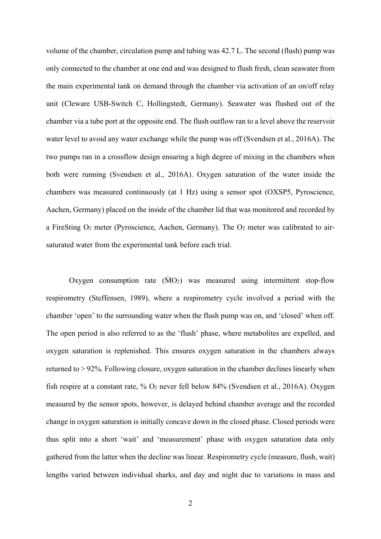volume of the chamber, circulation pump and tubing was 42.7 L. The second (flush) pump was only connected to the chamber at one end and was designed to flush fresh, clean seawater from the main experimental tank on demand through the chamber via activation of an on/off relay unit (Cleware USB-Switch C, Hollingstedt, Germany). Seawater was flushed out of the chamber via a tube port at the opposite end. The flush outflow ran to a level above the reservoir water level to avoid any water exchange while the pump was off (Svendsen et al., 2016A). The two pumps ran in a crossflow design ensuring a high degree of mixing in the chambers when both were running (Svendsen et al., 2016A). Oxygen saturation of the water inside the chambers was measured continuously (at 1 Hz) using a sensor spot (OXSP5, Pyroscience, Aachen, Germany) placed on the inside of the chamber lid that was monitored and recorded by a FireSting O2 meter (Pyroscience, Aachen, Germany). The O2 meter was calibrated to airsaturated water from the experimental tank before each trial.

Oxygen consumption rate  $(\dot{M}O_2)$  was measured using intermittent stop-flow respirometry (Steffensen, 1989), where a respirometry cycle involved a period with the chamber 'open' to the surrounding water when the flush pump was on, and 'closed' when off. The open period is also referred to as the 'flush' phase, where metabolites are expelled, and oxygen saturation is replenished. This ensures oxygen saturation in the chambers always returned to > 92%. Following closure, oxygen saturation in the chamber declines linearly when fish respire at a constant rate, % O2 never fell below 84% (Svendsen et al., 2016A). Oxygen measured by the sensor spots, however, is delayed behind chamber average and the recorded change in oxygen saturation is initially concave down in the closed phase. Closed periods were thus split into a short 'wait' and 'measurement' phase with oxygen saturation data only gathered from the latter when the decline was linear. Respirometry cycle (measure, flush, wait) lengths varied between individual sharks, and day and night due to variations in mass and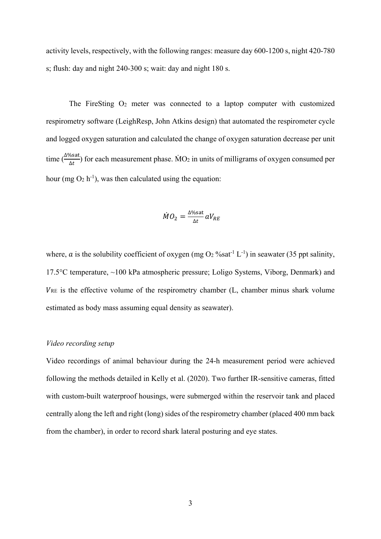activity levels, respectively, with the following ranges: measure day 600-1200 s, night 420-780 s; flush: day and night 240-300 s; wait: day and night 180 s.

The FireSting  $O_2$  meter was connected to a laptop computer with customized respirometry software (LeighResp, John Atkins design) that automated the respirometer cycle and logged oxygen saturation and calculated the change of oxygen saturation decrease per unit time  $\left(\frac{\Delta\% \text{sat}}{\Delta t}\right)$  for each measurement phase.  $\dot{M}O_2$  in units of milligrams of oxygen consumed per hour (mg  $O_2$  h<sup>-1</sup>), was then calculated using the equation:

$$
\dot{M}O_2 = \frac{\Delta\% \text{sat}}{\Delta t} aV_{RE}
$$

where, *a* is the solubility coefficient of oxygen (mg  $O_2$  %sat<sup>-1</sup> L<sup>-1</sup>) in seawater (35 ppt salinity, 17.5°C temperature, ~100 kPa atmospheric pressure; Loligo Systems, Viborg, Denmark) and  $V_{RE}$  is the effective volume of the respirometry chamber (L, chamber minus shark volume estimated as body mass assuming equal density as seawater).

#### *Video recording setup*

Video recordings of animal behaviour during the 24-h measurement period were achieved following the methods detailed in Kelly et al. (2020). Two further IR-sensitive cameras, fitted with custom-built waterproof housings, were submerged within the reservoir tank and placed centrally along the left and right (long) sides of the respirometry chamber (placed 400 mm back from the chamber), in order to record shark lateral posturing and eye states.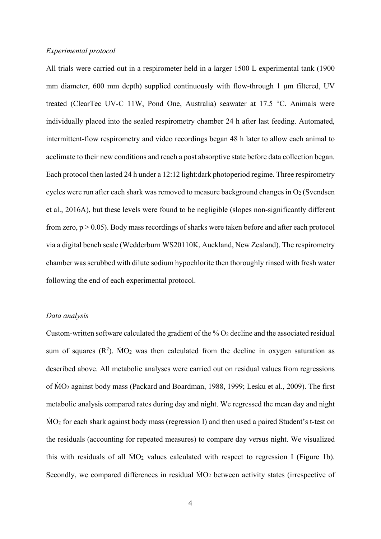## *Experimental protocol*

All trials were carried out in a respirometer held in a larger 1500 L experimental tank (1900 mm diameter, 600 mm depth) supplied continuously with flow-through 1 μm filtered, UV treated (ClearTec UV-C 11W, Pond One, Australia) seawater at 17.5 °C. Animals were individually placed into the sealed respirometry chamber 24 h after last feeding. Automated, intermittent-flow respirometry and video recordings began 48 h later to allow each animal to acclimate to their new conditions and reach a post absorptive state before data collection began. Each protocol then lasted 24 h under a 12:12 light:dark photoperiod regime. Three respirometry cycles were run after each shark was removed to measure background changes in  $O<sub>2</sub>$  (Svendsen et al., 2016A), but these levels were found to be negligible (slopes non-significantly different from zero,  $p > 0.05$ ). Body mass recordings of sharks were taken before and after each protocol via a digital bench scale (Wedderburn WS20110K, Auckland, New Zealand). The respirometry chamber was scrubbed with dilute sodium hypochlorite then thoroughly rinsed with fresh water following the end of each experimental protocol.

#### *Data analysis*

Custom-written software calculated the gradient of the % O2 decline and the associated residual sum of squares  $(R^2)$ .  $\dot{M}O_2$  was then calculated from the decline in oxygen saturation as described above. All metabolic analyses were carried out on residual values from regressions of ṀO2 against body mass (Packard and Boardman, 1988, 1999; Lesku et al., 2009). The first metabolic analysis compared rates during day and night. We regressed the mean day and night MO<sub>2</sub> for each shark against body mass (regression I) and then used a paired Student's t-test on the residuals (accounting for repeated measures) to compare day versus night. We visualized this with residuals of all  $\dot{M}O_2$  values calculated with respect to regression I (Figure 1b). Secondly, we compared differences in residual  $\dot{M}O_2$  between activity states (irrespective of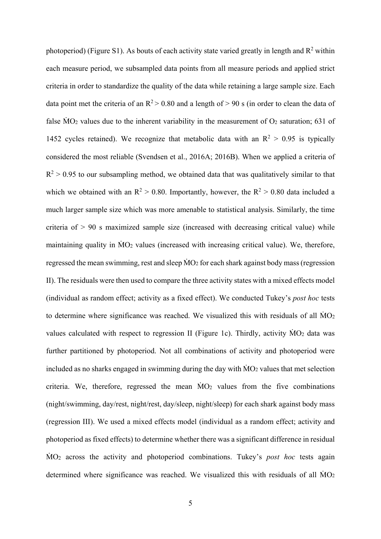photoperiod) (Figure S1). As bouts of each activity state varied greatly in length and  $R^2$  within each measure period, we subsampled data points from all measure periods and applied strict criteria in order to standardize the quality of the data while retaining a large sample size. Each data point met the criteria of an  $R^2 > 0.80$  and a length of  $> 90$  s (in order to clean the data of false  $\dot{M}O_2$  values due to the inherent variability in the measurement of  $O_2$  saturation; 631 of 1452 cycles retained). We recognize that metabolic data with an  $R^2 > 0.95$  is typically considered the most reliable (Svendsen et al., 2016A; 2016B). When we applied a criteria of  $R<sup>2</sup> > 0.95$  to our subsampling method, we obtained data that was qualitatively similar to that which we obtained with an  $R^2 > 0.80$ . Importantly, however, the  $R^2 > 0.80$  data included a much larger sample size which was more amenable to statistical analysis. Similarly, the time criteria of  $> 90$  s maximized sample size (increased with decreasing critical value) while maintaining quality in  $\dot{M}O_2$  values (increased with increasing critical value). We, therefore, regressed the mean swimming, rest and sleep  $\dot{M}O_2$  for each shark against body mass (regression II). The residuals were then used to compare the three activity states with a mixed effects model (individual as random effect; activity as a fixed effect). We conducted Tukey's *post hoc* tests to determine where significance was reached. We visualized this with residuals of all  $\dot{M}O_2$ values calculated with respect to regression II (Figure 1c). Thirdly, activity  $\dot{M}O_2$  data was further partitioned by photoperiod. Not all combinations of activity and photoperiod were included as no sharks engaged in swimming during the day with  $\dot{M}O_2$  values that met selection criteria. We, therefore, regressed the mean  $\dot{M}O_2$  values from the five combinations (night/swimming, day/rest, night/rest, day/sleep, night/sleep) for each shark against body mass (regression III). We used a mixed effects model (individual as a random effect; activity and photoperiod as fixed effects) to determine whether there was a significant difference in residual ṀO2 across the activity and photoperiod combinations. Tukey's *post hoc* tests again determined where significance was reached. We visualized this with residuals of all  $\dot{M}O_2$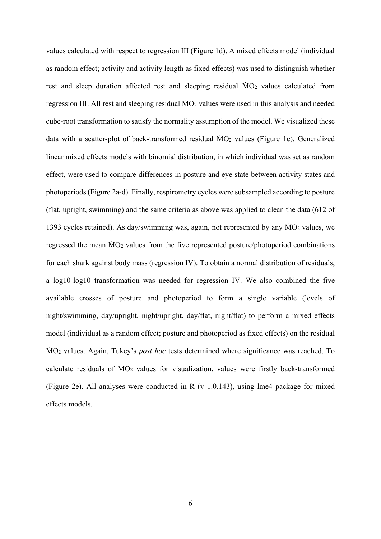values calculated with respect to regression III (Figure 1d). A mixed effects model (individual as random effect; activity and activity length as fixed effects) was used to distinguish whether rest and sleep duration affected rest and sleeping residual  $\dot{M}O_2$  values calculated from regression III. All rest and sleeping residual  $MO<sub>2</sub>$  values were used in this analysis and needed cube-root transformation to satisfy the normality assumption of the model. We visualized these data with a scatter-plot of back-transformed residual ṀO2 values (Figure 1e). Generalized linear mixed effects models with binomial distribution, in which individual was set as random effect, were used to compare differences in posture and eye state between activity states and photoperiods (Figure 2a-d). Finally, respirometry cycles were subsampled according to posture (flat, upright, swimming) and the same criteria as above was applied to clean the data (612 of 1393 cycles retained). As day/swimming was, again, not represented by any  $\dot{M}O_2$  values, we regressed the mean  $\dot{M}O_2$  values from the five represented posture/photoperiod combinations for each shark against body mass (regression IV). To obtain a normal distribution of residuals, a log10-log10 transformation was needed for regression IV. We also combined the five available crosses of posture and photoperiod to form a single variable (levels of night/swimming, day/upright, night/upright, day/flat, night/flat) to perform a mixed effects model (individual as a random effect; posture and photoperiod as fixed effects) on the residual ṀO2 values. Again, Tukey's *post hoc* tests determined where significance was reached. To calculate residuals of ṀO2 values for visualization, values were firstly back-transformed (Figure 2e). All analyses were conducted in R (v 1.0.143), using lme4 package for mixed effects models.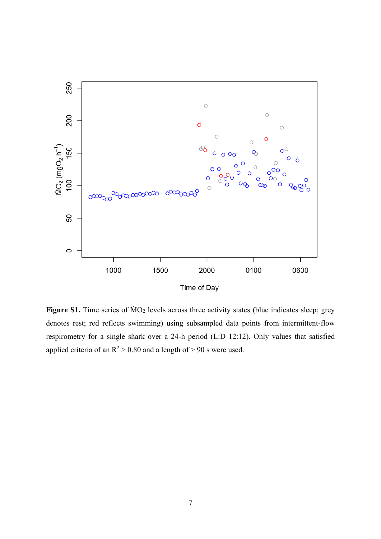

Figure S1. Time series of  $\dot{M}O_2$  levels across three activity states (blue indicates sleep; grey denotes rest; red reflects swimming) using subsampled data points from intermittent-flow respirometry for a single shark over a 24-h period (L:D 12:12). Only values that satisfied applied criteria of an  $R^2 > 0.80$  and a length of  $> 90$  s were used.